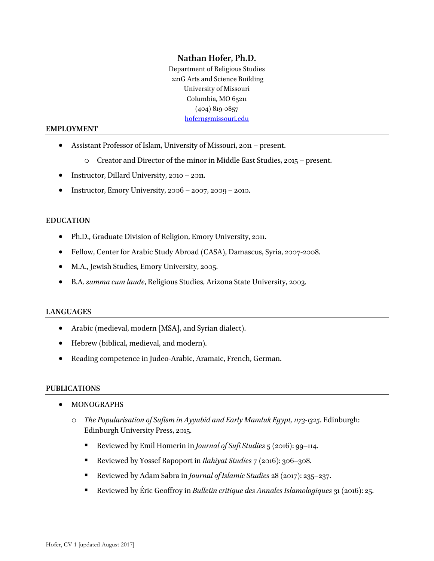# **Nathan Hofer, Ph.D.**

Department of Religious Studies 221G Arts and Science Building University of Missouri Columbia, MO 65211 (404) 819-0857 hofern@missouri.edu

#### **EMPLOYMENT**

- Assistant Professor of Islam, University of Missouri, 2011 present.
	- $\circ$  Creator and Director of the minor in Middle East Studies, 2015 present.
- Instructor, Dillard University, 2010 2011.
- Instructor, Emory University,  $2006 2007$ ,  $2009 2010$ .

#### **EDUCATION**

- Ph.D., Graduate Division of Religion, Emory University, 2011.
- Fellow, Center for Arabic Study Abroad (CASA), Damascus, Syria, 2007-2008.
- M.A., Jewish Studies, Emory University, 2005.
- B.A. *summa cum laude*, Religious Studies, Arizona State University, 2003.

#### **LANGUAGES**

- Arabic (medieval, modern [MSA], and Syrian dialect).
- Hebrew (biblical, medieval, and modern).
- Reading competence in Judeo-Arabic, Aramaic, French, German.

#### **PUBLICATIONS**

- MONOGRAPHS
	- o *The Popularisation of Sufism in Ayyubid and Early Mamluk Egypt, 1173-1325*. Edinburgh: Edinburgh University Press, 2015.
		- § Reviewed by Emil Homerin in *Journal of Sufi Studies* 5 (2016): 99–114.
		- § Reviewed by Yossef Rapoport in *Ilahiyat Studies* 7 (2016): 306–308.
		- § Reviewed by Adam Sabra in *Journal of Islamic Studies* 28 (2017): 235–237.
		- § Reviewed by Éric Geoffroy in *Bulletin critique des Annales Islamologiques* 31 (2016): 25.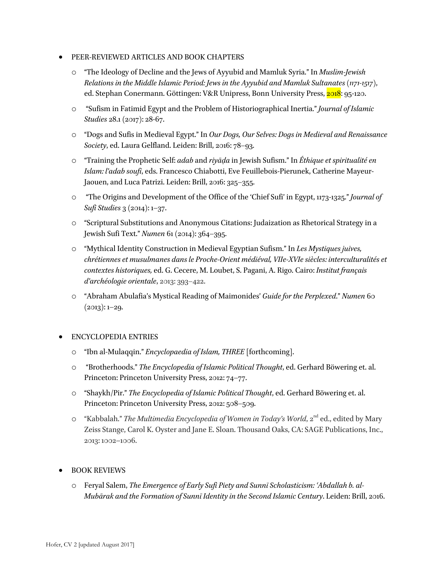## • PEER-REVIEWED ARTICLES AND BOOK CHAPTERS

- o "The Ideology of Decline and the Jews of Ayyubid and Mamluk Syria." In *Muslim-Jewish Relations in the Middle Islamic Period: Jews in the Ayyubid and Mamluk Sultanates (1171-1517)*, ed. Stephan Conermann. Göttingen: V&R Unipress, Bonn University Press, 2018: 95-120.
- o "Sufism in Fatimid Egypt and the Problem of Historiographical Inertia." *Journal of Islamic Studies* 28.1 (2017): 28-67.
- o "Dogs and Sufis in Medieval Egypt." In *Our Dogs, Our Selves: Dogs in Medieval and Renaissance Society*, ed. Laura Gelfland. Leiden: Brill, 2016: 78–93.
- o "Training the Prophetic Self: *adab* and *riyāḍa* in Jewish Sufism." In *Éthique et spiritualité en Islam: l'adab soufi*, eds. Francesco Chiabotti, Eve Feuillebois-Pierunek, Catherine Mayeur-Jaouen, and Luca Patrizi. Leiden: Brill, 2016: 325–355.
- o "The Origins and Development of the Office of the 'Chief Sufi' in Egypt, 1173-1325." *Journal of Sufi Studies* 3 (2014): 1–37.
- o "Scriptural Substitutions and Anonymous Citations: Judaization as Rhetorical Strategy in a Jewish Sufi Text." *Numen* 61 (2014): 364–395.
- o "Mythical Identity Construction in Medieval Egyptian Sufism." In *Les Mystiques juives, chrétiennes et musulmanes dans le Proche-Orient médiéval, VIIe-XVIe siècles: interculturalités et contextes historiques,* ed. G. Cecere, M. Loubet, S. Pagani, A. Rigo. Cairo: *Institut français d'archéologie orientale*, 2013: 393–422.
- o "Abraham Abulafia's Mystical Reading of Maimonides' *Guide for the Perplexed*." *Numen* 60  $(2013): 1-29.$

## • ENCYCLOPEDIA ENTRIES

- o "Ibn al-Mulaqqin." *Encyclopaedia of Islam, THREE* [forthcoming].
- o "Brotherhoods." *The Encyclopedia of Islamic Political Thought*, ed. Gerhard Böwering et. al. Princeton: Princeton University Press, 2012: 74–77.
- o "Shaykh/Pir." *The Encyclopedia of Islamic Political Thought*, ed. Gerhard Böwering et. al. Princeton: Princeton University Press, 2012: 508–509.
- o "Kabbalah." *The Multimedia Encyclopedia of Women in Today's World*, 2<sup>nd</sup> ed., edited by Mary Zeiss Stange, Carol K. Oyster and Jane E. Sloan. Thousand Oaks, CA: SAGE Publications, Inc., 2013: 1002–1006.

## • BOOK REVIEWS

o Feryal Salem, *The Emergence of Early Sufi Piety and Sunnī Scholasticism: ʿAbdallah b. al-Mubārak and the Formation of Sunnī Identity in the Second Islamic Century*. Leiden: Brill, 2016.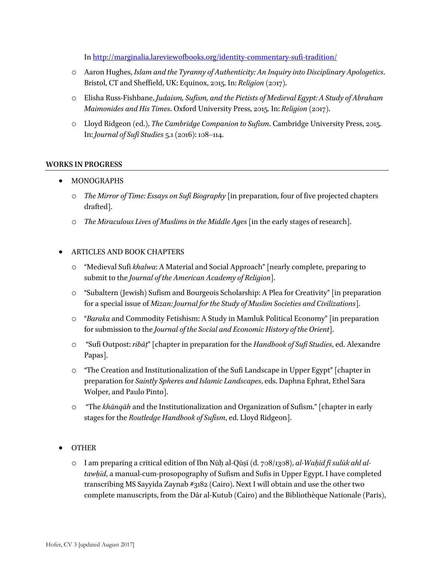In http://marginalia.lareviewofbooks.org/identity-commentary-sufi-tradition/

- o Aaron Hughes, *Islam and the Tyranny of Authenticity: An Inquiry into Disciplinary Apologetics*. Bristol, CT and Sheffield, UK: Equinox, 2015. In: *Religion* (2017).
- o Elisha Russ-Fishbane, *Judaism, Sufism, and the Pietists of Medieval Egypt: A Study of Abraham Maimonides and His Times*. Oxford University Press, 2015. In: *Religion* (2017).
- o Lloyd Ridgeon (ed.), *The Cambridge Companion to Sufism*. Cambridge University Press, 2015. In: *Journal of Sufi Studies* 5.1 (2016): 108–114.

## **WORKS IN PROGRESS**

- MONOGRAPHS
	- o *The Mirror of Time: Essays on Sufi Biography* [in preparation, four of five projected chapters drafted].
	- o *The Miraculous Lives of Muslims in the Middle Ages* [in the early stages of research].

## • ARTICLES AND BOOK CHAPTERS

- o "Medieval Sufi *khalwa*: A Material and Social Approach" [nearly complete, preparing to submit to the *Journal of the American Academy of Religion*].
- o "Subaltern (Jewish) Sufism and Bourgeois Scholarship: A Plea for Creativity" [in preparation for a special issue of *Mizan: Journal for the Study of Muslim Societies and Civilizations*].
- o "*Baraka* and Commodity Fetishism: A Study in Mamluk Political Economy" [in preparation for submission to the *Journal of the Social and Economic History of the Orient*].
- o "Sufi Outpost: *ribāṭ*" [chapter in preparation for the *Handbook of Sufi Studies*, ed. Alexandre Papas].
- o "The Creation and Institutionalization of the Sufi Landscape in Upper Egypt" [chapter in preparation for *Saintly Spheres and Islamic Landscapes*, eds. Daphna Ephrat, Ethel Sara Wolper, and Paulo Pinto].
- o "The *khānqāh* and the Institutionalization and Organization of Sufism." [chapter in early stages for the *Routledge Handbook of Sufism*, ed. Lloyd Ridgeon].
- OTHER
	- o I am preparing a critical edition of Ibn Nūḥ al-Qūṣī (d. 708/1308), *al-Waḥīd fī sulūk ahl altawḥīd*, a manual-cum-prosopography of Sufism and Sufis in Upper Egypt. I have completed transcribing MS Sayyida Zaynab #3182 (Cairo). Next I will obtain and use the other two complete manuscripts, from the Dār al-Kutub (Cairo) and the Bibliothèque Nationale (Paris),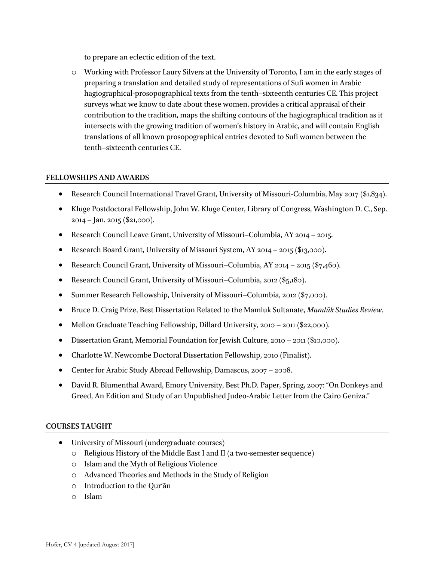to prepare an eclectic edition of the text.

o Working with Professor Laury Silvers at the University of Toronto, I am in the early stages of preparing a translation and detailed study of representations of Sufi women in Arabic hagiographical-prosopographical texts from the tenth–sixteenth centuries CE. This project surveys what we know to date about these women, provides a critical appraisal of their contribution to the tradition, maps the shifting contours of the hagiographical tradition as it intersects with the growing tradition of women's history in Arabic, and will contain English translations of all known prosopographical entries devoted to Sufi women between the tenth–sixteenth centuries CE.

## **FELLOWSHIPS AND AWARDS**

- Research Council International Travel Grant, University of Missouri-Columbia, May 2017 (\$1,834).
- Kluge Postdoctoral Fellowship, John W. Kluge Center, Library of Congress, Washington D. C., Sep. 2014 – Jan. 2015 (\$21,000).
- Research Council Leave Grant, University of Missouri–Columbia, AY 2014 2015.
- Research Board Grant, University of Missouri System, AY 2014 2015 (\$13,000).
- Research Council Grant, University of Missouri–Columbia, AY 2014 2015 (\$7,460).
- Research Council Grant, University of Missouri–Columbia, 2012 (\$5,180).
- Summer Research Fellowship, University of Missouri–Columbia, 2012 (\$7,000).
- Bruce D. Craig Prize, Best Dissertation Related to the Mamluk Sultanate, *Mamlūk Studies Review*.
- Mellon Graduate Teaching Fellowship, Dillard University, 2010 2011 (\$22,000).
- Dissertation Grant, Memorial Foundation for Jewish Culture, 2010 2011 (\$10,000).
- Charlotte W. Newcombe Doctoral Dissertation Fellowship, 2010 (Finalist).
- Center for Arabic Study Abroad Fellowship, Damascus, 2007 2008.
- David R. Blumenthal Award, Emory University, Best Ph.D. Paper, Spring, 2007: "On Donkeys and Greed, An Edition and Study of an Unpublished Judeo-Arabic Letter from the Cairo Geniza."

#### **COURSES TAUGHT**

- University of Missouri (undergraduate courses)
	- o Religious History of the Middle East I and II (a two-semester sequence)
	- o Islam and the Myth of Religious Violence
	- o Advanced Theories and Methods in the Study of Religion
	- o Introduction to the Qurʾān
	- o Islam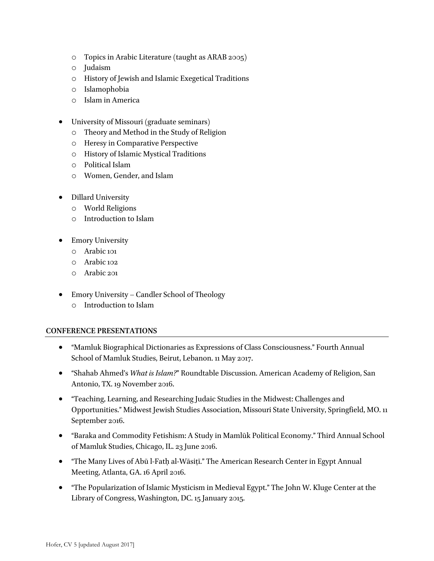- o Topics in Arabic Literature (taught as ARAB 2005)
- o Judaism
- o History of Jewish and Islamic Exegetical Traditions
- o Islamophobia
- o Islam in America
- University of Missouri (graduate seminars)
	- o Theory and Method in the Study of Religion
	- o Heresy in Comparative Perspective
	- o History of Islamic Mystical Traditions
	- o Political Islam
	- o Women, Gender, and Islam
- Dillard University
	- o World Religions
	- o Introduction to Islam
- Emory University
	- o Arabic 101
	- o Arabic 102
	- o Arabic 201
- Emory University Candler School of Theology
	- o Introduction to Islam

## **CONFERENCE PRESENTATIONS**

- "Mamluk Biographical Dictionaries as Expressions of Class Consciousness." Fourth Annual School of Mamluk Studies, Beirut, Lebanon. 11 May 2017.
- "Shahab Ahmed's *What is Islam?*" Roundtable Discussion. American Academy of Religion, San Antonio, TX. 19 November 2016.
- "Teaching, Learning, and Researching Judaic Studies in the Midwest: Challenges and Opportunities." Midwest Jewish Studies Association, Missouri State University, Springfield, MO. 11 September 2016.
- "Baraka and Commodity Fetishism: A Study in Mamlūk Political Economy." Third Annual School of Mamluk Studies, Chicago, IL. 23 June 2016.
- "The Many Lives of Abū l-Fatḥ al-Wāsiṭī." The American Research Center in Egypt Annual Meeting, Atlanta, GA. 16 April 2016.
- "The Popularization of Islamic Mysticism in Medieval Egypt." The John W. Kluge Center at the Library of Congress, Washington, DC. 15 January 2015.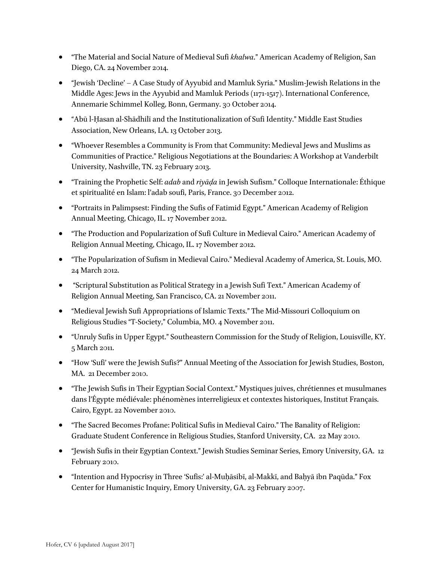- "The Material and Social Nature of Medieval Sufi *khalwa*." American Academy of Religion, San Diego, CA. 24 November 2014.
- "Jewish 'Decline' A Case Study of Ayyubid and Mamluk Syria." Muslim-Jewish Relations in the Middle Ages: Jews in the Ayyubid and Mamluk Periods (1171-1517). International Conference, Annemarie Schimmel Kolleg, Bonn, Germany. 30 October 2014.
- "Abū l-Ḥasan al-Shādhilī and the Institutionalization of Sufi Identity." Middle East Studies Association, New Orleans, LA. 13 October 2013.
- "Whoever Resembles a Community is From that Community: Medieval Jews and Muslims as Communities of Practice." Religious Negotiations at the Boundaries: A Workshop at Vanderbilt University, Nashville, TN. 23 February 2013.
- "Training the Prophetic Self: *adab* and *riyāḍa* in Jewish Sufism." Colloque Internationale: Éthique et spiritualité en Islam: l'adab soufi, Paris, France. 30 December 2012.
- "Portraits in Palimpsest: Finding the Sufis of Fatimid Egypt." American Academy of Religion Annual Meeting, Chicago, IL. 17 November 2012.
- "The Production and Popularization of Sufi Culture in Medieval Cairo." American Academy of Religion Annual Meeting, Chicago, IL. 17 November 2012.
- "The Popularization of Sufism in Medieval Cairo." Medieval Academy of America, St. Louis, MO. 24 March 2012.
- "Scriptural Substitution as Political Strategy in a Jewish Sufi Text." American Academy of Religion Annual Meeting, San Francisco, CA. 21 November 2011.
- "Medieval Jewish Sufi Appropriations of Islamic Texts." The Mid-Missouri Colloquium on Religious Studies "T-Society," Columbia, MO. 4 November 2011.
- "Unruly Sufis in Upper Egypt." Southeastern Commission for the Study of Religion, Louisville, KY. 5 March 2011.
- "How 'Sufi' were the Jewish Sufis?" Annual Meeting of the Association for Jewish Studies, Boston, MA. 21 December 2010.
- "The Jewish Sufis in Their Egyptian Social Context." Mystiques juives, chrétiennes et musulmanes dans l'Égypte médiévale: phénomènes interreligieux et contextes historiques, Institut Français. Cairo, Egypt. 22 November 2010.
- "The Sacred Becomes Profane: Political Sufis in Medieval Cairo." The Banality of Religion: Graduate Student Conference in Religious Studies, Stanford University, CA. 22 May 2010.
- "Jewish Sufis in their Egyptian Context." Jewish Studies Seminar Series, Emory University, GA. 12 February 2010.
- "Intention and Hypocrisy in Three 'Sufis:' al-Muḥāsibī, al-Makkī, and Baḥyā ibn Paqūda." Fox Center for Humanistic Inquiry, Emory University, GA. 23 February 2007.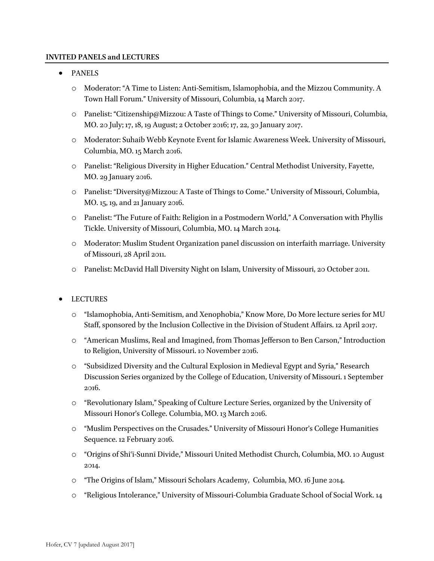#### **INVITED PANELS and LECTURES**

- PANELS
	- o Moderator: "A Time to Listen: Anti-Semitism, Islamophobia, and the Mizzou Community. A Town Hall Forum." University of Missouri, Columbia, 14 March 2017.
	- o Panelist: "Citizenship@Mizzou: A Taste of Things to Come." University of Missouri, Columbia, MO. 20 July; 17, 18, 19 August; 2 October 2016; 17, 22, 30 January 2017.
	- o Moderator: Suhaib Webb Keynote Event for Islamic Awareness Week. University of Missouri, Columbia, MO. 15 March 2016.
	- o Panelist: "Religious Diversity in Higher Education." Central Methodist University, Fayette, MO. 29 January 2016.
	- o Panelist: "Diversity@Mizzou: A Taste of Things to Come." University of Missouri, Columbia, MO. 15, 19, and 21 January 2016.
	- o Panelist: "The Future of Faith: Religion in a Postmodern World," A Conversation with Phyllis Tickle. University of Missouri, Columbia, MO. 14 March 2014.
	- o Moderator: Muslim Student Organization panel discussion on interfaith marriage. University of Missouri, 28 April 2011.
	- o Panelist: McDavid Hall Diversity Night on Islam, University of Missouri, 20 October 2011.
- **LECTURES** 
	- o "Islamophobia, Anti-Semitism, and Xenophobia," Know More, Do More lecture series for MU Staff, sponsored by the Inclusion Collective in the Division of Student Affairs. 12 April 2017.
	- o "American Muslims, Real and Imagined, from Thomas Jefferson to Ben Carson," Introduction to Religion, University of Missouri. 10 November 2016.
	- o "Subsidized Diversity and the Cultural Explosion in Medieval Egypt and Syria," Research Discussion Series organized by the College of Education, University of Missouri. 1 September 2016.
	- o "Revolutionary Islam," Speaking of Culture Lecture Series, organized by the University of Missouri Honor's College. Columbia, MO. 13 March 2016.
	- o "Muslim Perspectives on the Crusades." University of Missouri Honor's College Humanities Sequence. 12 February 2016.
	- o "Origins of Shiʿī-Sunnī Divide," Missouri United Methodist Church, Columbia, MO. 10 August 2014.
	- o "The Origins of Islam," Missouri Scholars Academy, Columbia, MO. 16 June 2014.
	- o "Religious Intolerance," University of Missouri-Columbia Graduate School of Social Work. 14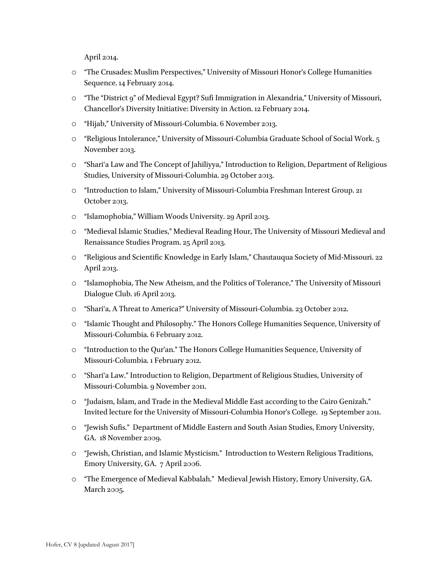April 2014.

- o "The Crusades: Muslim Perspectives," University of Missouri Honor's College Humanities Sequence. 14 February 2014.
- o "The "District 9" of Medieval Egypt? Sufi Immigration in Alexandria," University of Missouri, Chancellor's Diversity Initiative: Diversity in Action. 12 February 2014.
- o "Hijab," University of Missouri-Columbia. 6 November 2013.
- o "Religious Intolerance," University of Missouri-Columbia Graduate School of Social Work. 5 November 2013.
- o "Shariʿa Law and The Concept of Jahiliyya," Introduction to Religion, Department of Religious Studies, University of Missouri-Columbia. 29 October 2013.
- o "Introduction to Islam," University of Missouri-Columbia Freshman Interest Group. 21 October 2013.
- o "Islamophobia," William Woods University. 29 April 2013.
- o "Medieval Islamic Studies," Medieval Reading Hour, The University of Missouri Medieval and Renaissance Studies Program. 25 April 2013.
- o "Religious and Scientific Knowledge in Early Islam," Chautauqua Society of Mid-Missouri. 22 April 2013.
- o "Islamophobia, The New Atheism, and the Politics of Tolerance," The University of Missouri Dialogue Club. 16 April 2013.
- o "Shariʿa, A Threat to America?" University of Missouri-Columbia. 23 October 2012.
- o "Islamic Thought and Philosophy." The Honors College Humanities Sequence, University of Missouri-Columbia. 6 February 2012.
- o "Introduction to the Qur'an." The Honors College Humanities Sequence, University of Missouri-Columbia. 1 February 2012.
- o "Shariʿa Law." Introduction to Religion, Department of Religious Studies, University of Missouri-Columbia. 9 November 2011.
- o "Judaism, Islam, and Trade in the Medieval Middle East according to the Cairo Genizah." Invited lecture for the University of Missouri-Columbia Honor's College. 19 September 2011.
- o "Jewish Sufis." Department of Middle Eastern and South Asian Studies, Emory University, GA. 18 November 2009.
- o "Jewish, Christian, and Islamic Mysticism." Introduction to Western Religious Traditions, Emory University, GA. 7 April 2006.
- o "The Emergence of Medieval Kabbalah." Medieval Jewish History, Emory University, GA. March 2005.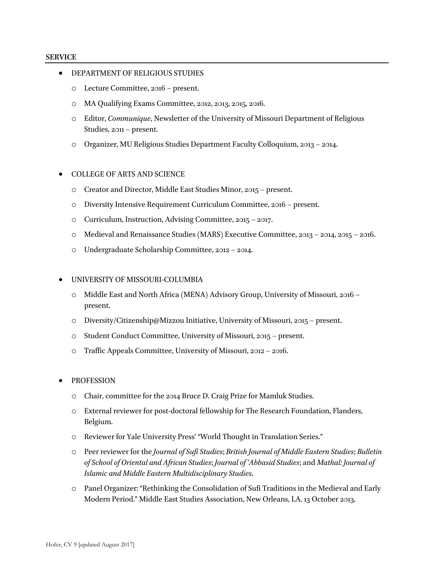#### **SERVICE**

- DEPARTMENT OF RELIGIOUS STUDIES
	- o Lecture Committee, 2016 present.
	- o MA Qualifying Exams Committee, 2012, 2013, 2015, 2016.
	- o Editor, *Communique*, Newsletter of the University of Missouri Department of Religious Studies, 2011 – present.
	- o Organizer, MU Religious Studies Department Faculty Colloquium, 2013 2014.
- COLLEGE OF ARTS AND SCIENCE
	- o Creator and Director, Middle East Studies Minor, 2015 present.
	- o Diversity Intensive Requirement Curriculum Committee, 2016 present.
	- o Curriculum, Instruction, Advising Committee, 2015 2017.
	- o Medieval and Renaissance Studies (MARS) Executive Committee, 2013 2014, 2015 2016.
	- o Undergraduate Scholarship Committee, 2012 2014.

#### • UNIVERSITY OF MISSOURI-COLUMBIA

- o Middle East and North Africa (MENA) Advisory Group, University of Missouri, 2016 present.
- o Diversity/Citizenship@Mizzou Initiative, University of Missouri, 2015 present.
- o Student Conduct Committee, University of Missouri, 2015 present.
- o Traffic Appeals Committee, University of Missouri, 2012 2016.
- **PROFESSION** 
	- o Chair, committee for the 2014 Bruce D. Craig Prize for Mamluk Studies.
	- o External reviewer for post-doctoral fellowship for The Research Foundation, Flanders, Belgium.
	- o Reviewer for Yale University Press' "World Thought in Translation Series."
	- o Peer reviewer for the *Journal of Sufi Studies*; *British Journal of Middle Eastern Studies*; *Bulletin of School of Oriental and African Studies*; *Journal of ʿAbbasid Studies*; and *Mathal: Journal of Islamic and Middle Eastern Multidisciplinary Studies*.
	- o Panel Organizer: "Rethinking the Consolidation of Sufi Traditions in the Medieval and Early Modern Period." Middle East Studies Association, New Orleans, LA. 13 October 2013.